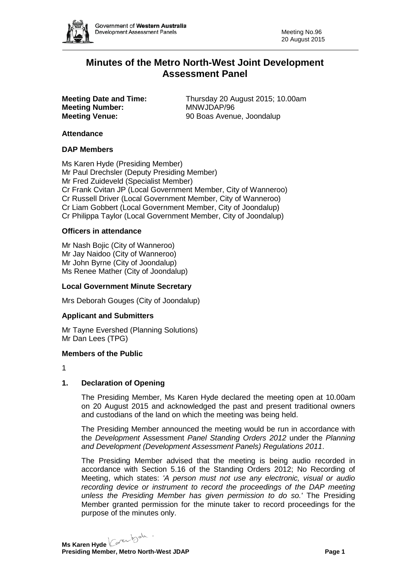

# **Minutes of the Metro North-West Joint Development Assessment Panel**

**Meeting Number:**<br>Meeting Venue:

**Meeting Date and Time:** Thursday 20 August 2015; 10.00am<br> **MONILLAREAD MONILLAREAD MANILLAR Meeting Venue:** 90 Boas Avenue, Joondalup

### **Attendance**

### **DAP Members**

Ms Karen Hyde (Presiding Member) Mr Paul Drechsler (Deputy Presiding Member) Mr Fred Zuideveld (Specialist Member) Cr Frank Cvitan JP (Local Government Member, City of Wanneroo) Cr Russell Driver (Local Government Member, City of Wanneroo) Cr Liam Gobbert (Local Government Member, City of Joondalup) Cr Philippa Taylor (Local Government Member, City of Joondalup)

### **Officers in attendance**

Mr Nash Bojic (City of Wanneroo) Mr Jay Naidoo (City of Wanneroo) Mr John Byrne (City of Joondalup) Ms Renee Mather (City of Joondalup)

### **Local Government Minute Secretary**

Mrs Deborah Gouges (City of Joondalup)

#### **Applicant and Submitters**

Mr Tayne Evershed (Planning Solutions) Mr Dan Lees (TPG)

#### **Members of the Public**

1

# **1. Declaration of Opening**

The Presiding Member, Ms Karen Hyde declared the meeting open at 10.00am on 20 August 2015 and acknowledged the past and present traditional owners and custodians of the land on which the meeting was being held.

The Presiding Member announced the meeting would be run in accordance with the *Development* Assessment *Panel Standing Orders 2012* under the *Planning and Development (Development Assessment Panels) Regulations 2011*.

The Presiding Member advised that the meeting is being audio recorded in accordance with Section 5.16 of the Standing Orders 2012; No Recording of Meeting, which states: *'A person must not use any electronic, visual or audio recording device or instrument to record the proceedings of the DAP meeting unless the Presiding Member has given permission to do so.'* The Presiding Member granted permission for the minute taker to record proceedings for the purpose of the minutes only.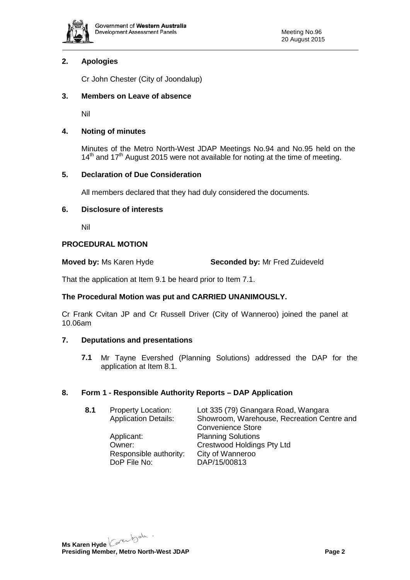

# **2. Apologies**

Cr John Chester (City of Joondalup)

# **3. Members on Leave of absence**

Nil

# **4. Noting of minutes**

Minutes of the Metro North-West JDAP Meetings No.94 and No.95 held on the  $14<sup>th</sup>$  and  $17<sup>th</sup>$  August 2015 were not available for noting at the time of meeting.

# **5. Declaration of Due Consideration**

All members declared that they had duly considered the documents.

# **6. Disclosure of interests**

Nil

# **PROCEDURAL MOTION**

**Moved by:** Ms Karen Hyde **Seconded by:** Mr Fred Zuideveld

That the application at Item 9.1 be heard prior to Item 7.1.

# **The Procedural Motion was put and CARRIED UNANIMOUSLY.**

Cr Frank Cvitan JP and Cr Russell Driver (City of Wanneroo) joined the panel at 10.06am

# **7. Deputations and presentations**

**7.1** Mr Tayne Evershed (Planning Solutions) addressed the DAP for the application at Item 8.1.

# **8. Form 1 - Responsible Authority Reports – DAP Application**

| Showroom, Warehouse, Recreation Centre and |
|--------------------------------------------|
|                                            |
|                                            |
|                                            |
|                                            |
|                                            |
|                                            |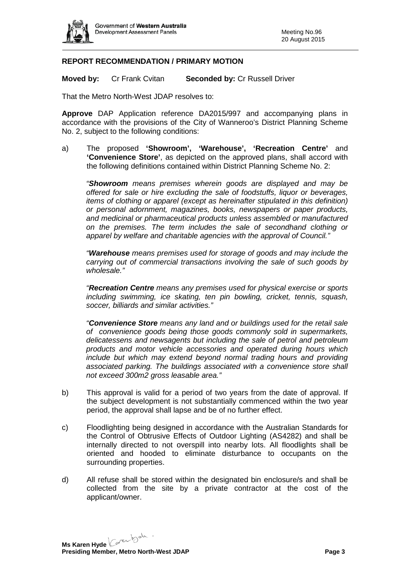

# **REPORT RECOMMENDATION / PRIMARY MOTION**

**Moved by:** Cr Frank Cvitan **Seconded by:** Cr Russell Driver

That the Metro North-West JDAP resolves to:

**Approve** DAP Application reference DA2015/997 and accompanying plans in accordance with the provisions of the City of Wanneroo's District Planning Scheme No. 2, subject to the following conditions:

a) The proposed **'Showroom', 'Warehouse', 'Recreation Centre'** and **'Convenience Store'**, as depicted on the approved plans, shall accord with the following definitions contained within District Planning Scheme No. 2:

*"Showroom means premises wherein goods are displayed and may be offered for sale or hire excluding the sale of foodstuffs, liquor or beverages, items of clothing or apparel (except as hereinafter stipulated in this definition) or personal adornment, magazines, books, newspapers or paper products, and medicinal or pharmaceutical products unless assembled or manufactured on the premises. The term includes the sale of secondhand clothing or apparel by welfare and charitable agencies with the approval of Council."*

*"Warehouse means premises used for storage of goods and may include the carrying out of commercial transactions involving the sale of such goods by wholesale."*

*"Recreation Centre means any premises used for physical exercise or sports including swimming, ice skating, ten pin bowling, cricket, tennis, squash, soccer, billiards and similar activities."*

*"Convenience Store means any land and or buildings used for the retail sale of convenience goods being those goods commonly sold in supermarkets, delicatessens and newsagents but including the sale of petrol and petroleum products and motor vehicle accessories and operated during hours which include but which may extend beyond normal trading hours and providing associated parking. The buildings associated with a convenience store shall not exceed 300m2 gross leasable area."*

- b) This approval is valid for a period of two years from the date of approval. If the subject development is not substantially commenced within the two year period, the approval shall lapse and be of no further effect.
- c) Floodlighting being designed in accordance with the Australian Standards for the Control of Obtrusive Effects of Outdoor Lighting (AS4282) and shall be internally directed to not overspill into nearby lots. All floodlights shall be oriented and hooded to eliminate disturbance to occupants on the surrounding properties.
- d) All refuse shall be stored within the designated bin enclosure/s and shall be collected from the site by a private contractor at the cost of the applicant/owner.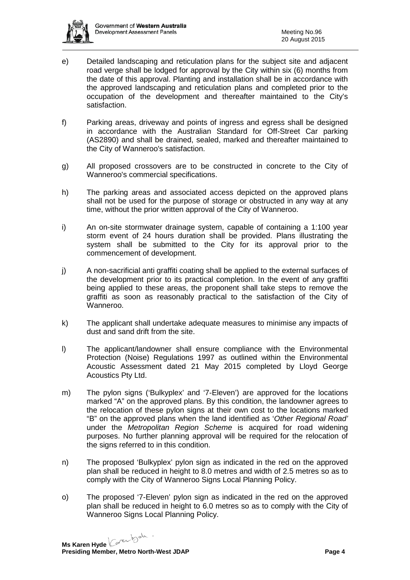

- e) Detailed landscaping and reticulation plans for the subject site and adjacent road verge shall be lodged for approval by the City within six (6) months from the date of this approval. Planting and installation shall be in accordance with the approved landscaping and reticulation plans and completed prior to the occupation of the development and thereafter maintained to the City's satisfaction.
- f) Parking areas, driveway and points of ingress and egress shall be designed in accordance with the Australian Standard for Off-Street Car parking (AS2890) and shall be drained, sealed, marked and thereafter maintained to the City of Wanneroo's satisfaction.
- g) All proposed crossovers are to be constructed in concrete to the City of Wanneroo's commercial specifications.
- h) The parking areas and associated access depicted on the approved plans shall not be used for the purpose of storage or obstructed in any way at any time, without the prior written approval of the City of Wanneroo.
- i) An on-site stormwater drainage system, capable of containing a 1:100 year storm event of 24 hours duration shall be provided. Plans illustrating the system shall be submitted to the City for its approval prior to the commencement of development.
- j) A non-sacrificial anti graffiti coating shall be applied to the external surfaces of the development prior to its practical completion. In the event of any graffiti being applied to these areas, the proponent shall take steps to remove the graffiti as soon as reasonably practical to the satisfaction of the City of Wanneroo.
- k) The applicant shall undertake adequate measures to minimise any impacts of dust and sand drift from the site.
- l) The applicant/landowner shall ensure compliance with the Environmental Protection (Noise) Regulations 1997 as outlined within the Environmental Acoustic Assessment dated 21 May 2015 completed by Lloyd George Acoustics Pty Ltd.
- m) The pylon signs ('Bulkyplex' and '7-Eleven') are approved for the locations marked "A" on the approved plans. By this condition, the landowner agrees to the relocation of these pylon signs at their own cost to the locations marked "B" on the approved plans when the land identified as '*Other Regional Road'* under the *Metropolitan Region Scheme* is acquired for road widening purposes. No further planning approval will be required for the relocation of the signs referred to in this condition.
- n) The proposed 'Bulkyplex' pylon sign as indicated in the red on the approved plan shall be reduced in height to 8.0 metres and width of 2.5 metres so as to comply with the City of Wanneroo Signs Local Planning Policy.
- o) The proposed '7-Eleven' pylon sign as indicated in the red on the approved plan shall be reduced in height to 6.0 metres so as to comply with the City of Wanneroo Signs Local Planning Policy.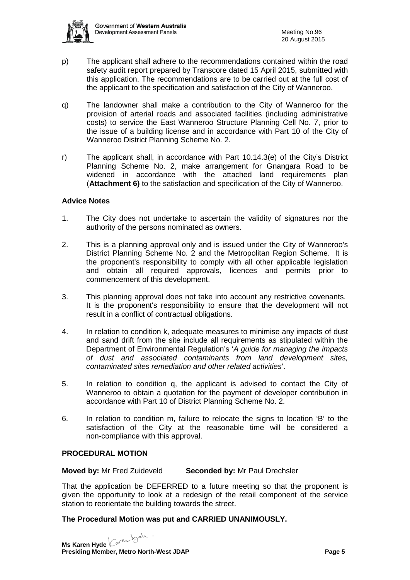

- p) The applicant shall adhere to the recommendations contained within the road safety audit report prepared by Transcore dated 15 April 2015, submitted with this application. The recommendations are to be carried out at the full cost of the applicant to the specification and satisfaction of the City of Wanneroo.
- q) The landowner shall make a contribution to the City of Wanneroo for the provision of arterial roads and associated facilities (including administrative costs) to service the East Wanneroo Structure Planning Cell No. 7, prior to the issue of a building license and in accordance with Part 10 of the City of Wanneroo District Planning Scheme No. 2.
- r) The applicant shall, in accordance with Part 10.14.3(e) of the City's District Planning Scheme No. 2, make arrangement for Gnangara Road to be widened in accordance with the attached land requirements plan (**Attachment 6)** to the satisfaction and specification of the City of Wanneroo.

### **Advice Notes**

- 1. The City does not undertake to ascertain the validity of signatures nor the authority of the persons nominated as owners.
- 2. This is a planning approval only and is issued under the City of Wanneroo's District Planning Scheme No. 2 and the Metropolitan Region Scheme. It is the proponent's responsibility to comply with all other applicable legislation and obtain all required approvals, licences and permits prior to commencement of this development.
- 3. This planning approval does not take into account any restrictive covenants. It is the proponent's responsibility to ensure that the development will not result in a conflict of contractual obligations.
- 4. In relation to condition k, adequate measures to minimise any impacts of dust and sand drift from the site include all requirements as stipulated within the Department of Environmental Regulation's '*A guide for managing the impacts of dust and associated contaminants from land development sites, contaminated sites remediation and other related activities*'.
- 5. In relation to condition q, the applicant is advised to contact the City of Wanneroo to obtain a quotation for the payment of developer contribution in accordance with Part 10 of District Planning Scheme No. 2.
- 6. In relation to condition m, failure to relocate the signs to location 'B' to the satisfaction of the City at the reasonable time will be considered a non-compliance with this approval.

# **PROCEDURAL MOTION**

**Moved by:** Mr Fred Zuideveld **Seconded by:** Mr Paul Drechsler

That the application be DEFERRED to a future meeting so that the proponent is given the opportunity to look at a redesign of the retail component of the service station to reorientate the building towards the street.

#### **The Procedural Motion was put and CARRIED UNANIMOUSLY.**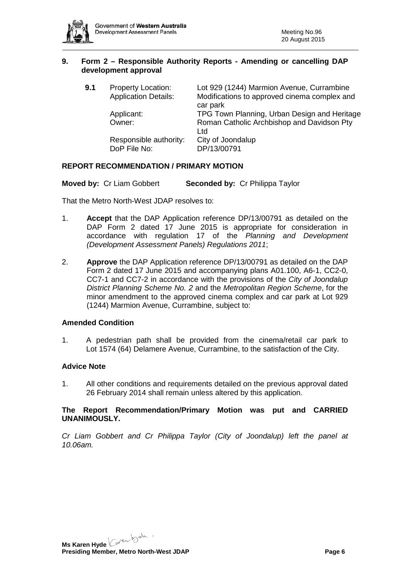

### **9. Form 2 – Responsible Authority Reports - Amending or cancelling DAP development approval**

| 9.1 | <b>Property Location:</b><br><b>Application Details:</b> | Lot 929 (1244) Marmion Avenue, Currambine<br>Modifications to approved cinema complex and<br>car park |
|-----|----------------------------------------------------------|-------------------------------------------------------------------------------------------------------|
|     | Applicant:<br>Owner:                                     | TPG Town Planning, Urban Design and Heritage<br>Roman Catholic Archbishop and Davidson Pty            |
|     | Responsible authority:<br>DoP File No:                   | Ltd<br>City of Joondalup<br>DP/13/00791                                                               |

# **REPORT RECOMMENDATION / PRIMARY MOTION**

**Moved by:** Cr Liam Gobbert **Seconded by:** Cr Philippa Taylor

That the Metro North-West JDAP resolves to:

- 1. **Accept** that the DAP Application reference DP/13/00791 as detailed on the DAP Form 2 dated 17 June 2015 is appropriate for consideration in accordance with regulation 17 of the *Planning and Development (Development Assessment Panels) Regulations 2011*;
- 2. **Approve** the DAP Application reference DP/13/00791 as detailed on the DAP Form 2 dated 17 June 2015 and accompanying plans A01.100, A6-1, CC2-0, CC7-1 and CC7-2 in accordance with the provisions of the *City of Joondalup District Planning Scheme No. 2* and the *Metropolitan Region Scheme*, for the minor amendment to the approved cinema complex and car park at Lot 929 (1244) Marmion Avenue, Currambine, subject to:

# **Amended Condition**

1. A pedestrian path shall be provided from the cinema/retail car park to Lot 1574 (64) Delamere Avenue, Currambine, to the satisfaction of the City.

#### **Advice Note**

1. All other conditions and requirements detailed on the previous approval dated 26 February 2014 shall remain unless altered by this application.

**The Report Recommendation/Primary Motion was put and CARRIED UNANIMOUSLY.**

*Cr Liam Gobbert and Cr Philippa Taylor (City of Joondalup) left the panel at 10.06am.*